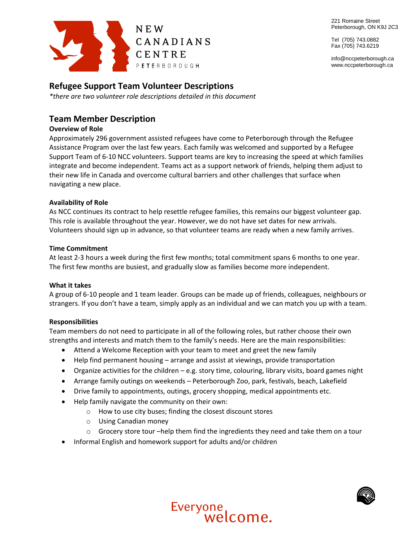221 Romaine Street Peterborough, ON K9J 2C3

Tel (705) 743.0882 Fax (705) 743.6219

info@nccpeterborough.ca www.nccpeterborough.ca



## **Refugee Support Team Volunteer Descriptions**

*\*there are two volunteer role descriptions detailed in this document*

# **Team Member Description**

## **Overview of Role**

Approximately 296 government assisted refugees have come to Peterborough through the Refugee Assistance Program over the last few years. Each family was welcomed and supported by a Refugee Support Team of 6-10 NCC volunteers. Support teams are key to increasing the speed at which families integrate and become independent. Teams act as a support network of friends, helping them adjust to their new life in Canada and overcome cultural barriers and other challenges that surface when navigating a new place.

## **Availability of Role**

As NCC continues its contract to help resettle refugee families, this remains our biggest volunteer gap. This role is available throughout the year. However, we do not have set dates for new arrivals. Volunteers should sign up in advance, so that volunteer teams are ready when a new family arrives.

#### **Time Commitment**

At least 2-3 hours a week during the first few months; total commitment spans 6 months to one year. The first few months are busiest, and gradually slow as families become more independent.

#### **What it takes**

A group of 6-10 people and 1 team leader. Groups can be made up of friends, colleagues, neighbours or strangers. If you don't have a team, simply apply as an individual and we can match you up with a team.

## **Responsibilities**

Team members do not need to participate in all of the following roles, but rather choose their own strengths and interests and match them to the family's needs. Here are the main responsibilities:

- Attend a Welcome Reception with your team to meet and greet the new family
- Help find permanent housing arrange and assist at viewings, provide transportation
- Organize activities for the children e.g. story time, colouring, library visits, board games night
- Arrange family outings on weekends Peterborough Zoo, park, festivals, beach, Lakefield
- Drive family to appointments, outings, grocery shopping, medical appointments etc.
- Help family navigate the community on their own:
	- o How to use city buses; finding the closest discount stores
	- o Using Canadian money
	- $\circ$  Grocery store tour –help them find the ingredients they need and take them on a tour
- Informal English and homework support for adults and/or children